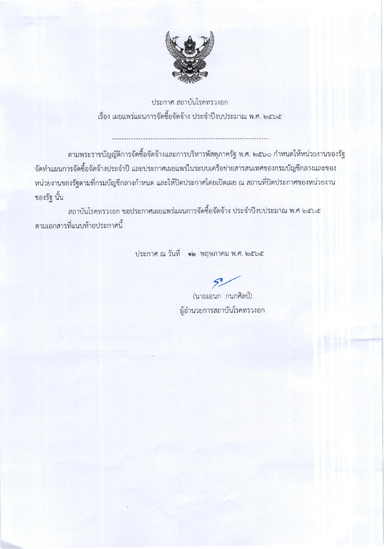

ประกาศ สถาบันโรคทรวงอก เรื่อง เผยแพร่แผนการจัดซื้อจัดจ้าง ประจำปีงบประมาณ พ.ศ. ๒๕๖๕

ตามพระราชบัญญัติการจัดซื้อจัดจ้างและการบริหารพัสดุภาครัฐ พ.ศ. ๒๕๖๐ กำหนดให้หน่วยงานของรัฐ จัดทำแผนการจัดซื้อจัดจ้างประจำปี และประกาศเผยแพร่ในระบบเครือข่ายสารสนเทศของกรมบัญชีกลางและของ หน่วยงานของรัฐตามที่กรมบัญชีกลางกำหนด และให้ปิดประกาศโดยเปิดเผย ณ สถานที่ปิดประกาศของหน่วยงาน ของรัฐ นั้น

สถาบันโรคทรวงอก ขอประกาศเผยแพร่แผนการจัดซื้อจัดจ้าง ประจำปีงบประมาณ พ.ศ ๒๕๖๕ ตามเอกสารที่แนบท้ายประกาศนี้

ประกาศ ณ วันที่ อ๒ พฤษภาคม พ.ศ. ๒๕๖๕

(นายเอนก กนกศิลป์) ผู้อำนวยการสถาบันโรคทรวงอก